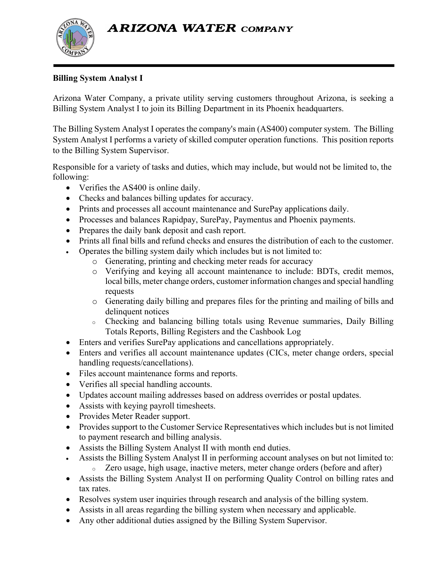**ARIZONA WATER COMPANY** 



## **Billing System Analyst I**

Arizona Water Company, a private utility serving customers throughout Arizona, is seeking a Billing System Analyst I to join its Billing Department in its Phoenix headquarters.

The Billing System Analyst I operates the company's main (AS400) computer system. The Billing System Analyst I performs a variety of skilled computer operation functions. This position reports to the Billing System Supervisor.

Responsible for a variety of tasks and duties, which may include, but would not be limited to, the following:

- Verifies the AS400 is online daily.
- Checks and balances billing updates for accuracy.
- Prints and processes all account maintenance and SurePay applications daily.
- Processes and balances Rapidpay, SurePay, Paymentus and Phoenix payments.
- Prepares the daily bank deposit and cash report.
- Prints all final bills and refund checks and ensures the distribution of each to the customer.
- Operates the billing system daily which includes but is not limited to:
	- o Generating, printing and checking meter reads for accuracy
	- o Verifying and keying all account maintenance to include: BDTs, credit memos, local bills, meter change orders, customer information changes and special handling requests
	- o Generating daily billing and prepares files for the printing and mailing of bills and delinquent notices
	- <sup>o</sup> Checking and balancing billing totals using Revenue summaries, Daily Billing Totals Reports, Billing Registers and the Cashbook Log
- Enters and verifies SurePay applications and cancellations appropriately.
- Enters and verifies all account maintenance updates (CICs, meter change orders, special handling requests/cancellations).
- Files account maintenance forms and reports.
- Verifies all special handling accounts.
- Updates account mailing addresses based on address overrides or postal updates.
- Assists with keying payroll timesheets.
- Provides Meter Reader support.
- Provides support to the Customer Service Representatives which includes but is not limited to payment research and billing analysis.
- Assists the Billing System Analyst II with month end duties.
- Assists the Billing System Analyst II in performing account analyses on but not limited to: <sup>o</sup> Zero usage, high usage, inactive meters, meter change orders (before and after)
- Assists the Billing System Analyst II on performing Quality Control on billing rates and tax rates.
- Resolves system user inquiries through research and analysis of the billing system.
- Assists in all areas regarding the billing system when necessary and applicable.
- Any other additional duties assigned by the Billing System Supervisor.